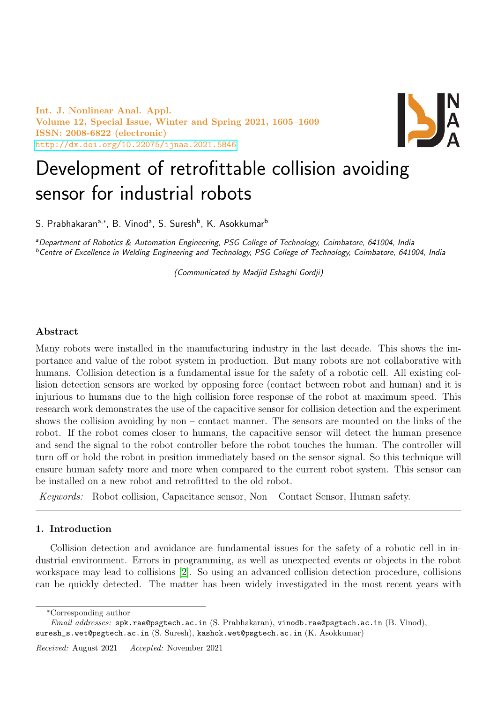Int. J. Nonlinear Anal. Appl. Volume 12, Special Issue, Winter and Spring 2021, 1605–1609 ISSN: 2008-6822 (electronic) <http://dx.doi.org/10.22075/ijnaa.2021.5846>



# Development of retrofittable collision avoiding sensor for industrial robots

S. Prabhakaranª<sub>\*</sub>\*, B. Vinodª, S. Suresh<sup>b</sup>, K. Asokkumar<sup>b</sup>

<sup>a</sup>Department of Robotics & Automation Engineering, PSG College of Technology, Coimbatore, 641004, India <sup>b</sup>Centre of Excellence in Welding Engineering and Technology, PSG College of Technology, Coimbatore, 641004, India

(Communicated by Madjid Eshaghi Gordji)

# Abstract

Many robots were installed in the manufacturing industry in the last decade. This shows the importance and value of the robot system in production. But many robots are not collaborative with humans. Collision detection is a fundamental issue for the safety of a robotic cell. All existing collision detection sensors are worked by opposing force (contact between robot and human) and it is injurious to humans due to the high collision force response of the robot at maximum speed. This research work demonstrates the use of the capacitive sensor for collision detection and the experiment shows the collision avoiding by non – contact manner. The sensors are mounted on the links of the robot. If the robot comes closer to humans, the capacitive sensor will detect the human presence and send the signal to the robot controller before the robot touches the human. The controller will turn off or hold the robot in position immediately based on the sensor signal. So this technique will ensure human safety more and more when compared to the current robot system. This sensor can be installed on a new robot and retrofitted to the old robot.

Keywords: Robot collision, Capacitance sensor, Non – Contact Sensor, Human safety.

# 1. Introduction

Collision detection and avoidance are fundamental issues for the safety of a robotic cell in industrial environment. Errors in programming, as well as unexpected events or objects in the robot workspace may lead to collisions [\[2\]](#page-4-0). So using an advanced collision detection procedure, collisions can be quickly detected. The matter has been widely investigated in the most recent years with

<sup>∗</sup>Corresponding author

Email addresses: spk.rae@psgtech.ac.in (S. Prabhakaran), vinodb.rae@psgtech.ac.in (B. Vinod), suresh\_s.wet@psgtech.ac.in (S. Suresh), kashok.wet@psgtech.ac.in (K. Asokkumar)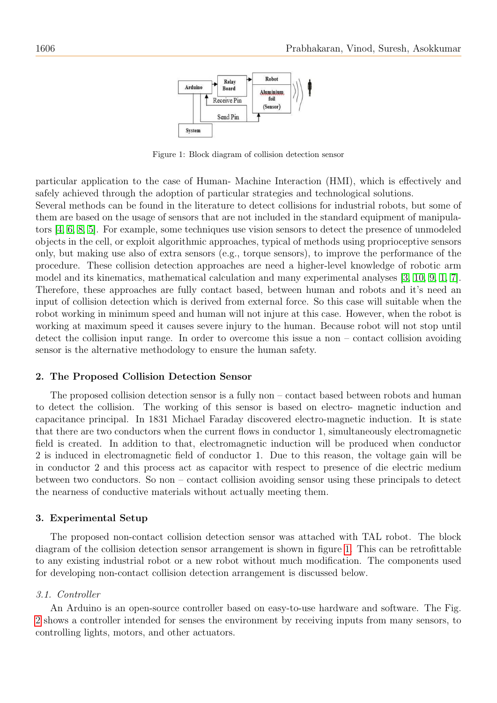<span id="page-1-0"></span>

Figure 1: Block diagram of collision detection sensor

particular application to the case of Human- Machine Interaction (HMI), which is effectively and safely achieved through the adoption of particular strategies and technological solutions.

Several methods can be found in the literature to detect collisions for industrial robots, but some of them are based on the usage of sensors that are not included in the standard equipment of manipulators [\[4,](#page-4-1) [6,](#page-4-2) [8,](#page-5-0) [5\]](#page-4-3). For example, some techniques use vision sensors to detect the presence of unmodeled objects in the cell, or exploit algorithmic approaches, typical of methods using proprioceptive sensors only, but making use also of extra sensors (e.g., torque sensors), to improve the performance of the procedure. These collision detection approaches are need a higher-level knowledge of robotic arm model and its kinematics, mathematical calculation and many experimental analyses [\[3,](#page-4-4) [10,](#page-5-1) [9,](#page-5-2) [1,](#page-4-5) [7\]](#page-4-6). Therefore, these approaches are fully contact based, between human and robots and it's need an input of collision detection which is derived from external force. So this case will suitable when the robot working in minimum speed and human will not injure at this case. However, when the robot is working at maximum speed it causes severe injury to the human. Because robot will not stop until detect the collision input range. In order to overcome this issue a non – contact collision avoiding sensor is the alternative methodology to ensure the human safety.

## 2. The Proposed Collision Detection Sensor

The proposed collision detection sensor is a fully non – contact based between robots and human to detect the collision. The working of this sensor is based on electro- magnetic induction and capacitance principal. In 1831 Michael Faraday discovered electro-magnetic induction. It is state that there are two conductors when the current flows in conductor 1, simultaneously electromagnetic field is created. In addition to that, electromagnetic induction will be produced when conductor 2 is induced in electromagnetic field of conductor 1. Due to this reason, the voltage gain will be in conductor 2 and this process act as capacitor with respect to presence of die electric medium between two conductors. So non – contact collision avoiding sensor using these principals to detect the nearness of conductive materials without actually meeting them.

## 3. Experimental Setup

The proposed non-contact collision detection sensor was attached with TAL robot. The block diagram of the collision detection sensor arrangement is shown in figure [1.](#page-1-0) This can be retrofittable to any existing industrial robot or a new robot without much modification. The components used for developing non-contact collision detection arrangement is discussed below.

#### 3.1. Controller

An Arduino is an open-source controller based on easy-to-use hardware and software. The Fig. [2](#page-2-0) shows a controller intended for senses the environment by receiving inputs from many sensors, to controlling lights, motors, and other actuators.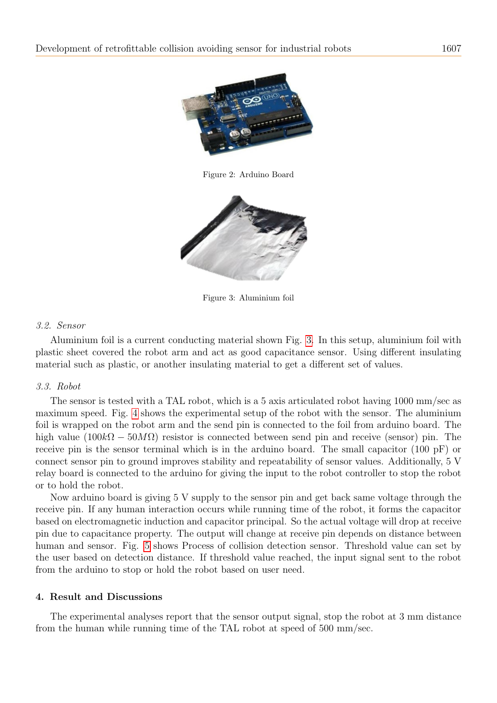

Figure 2: Arduino Board

<span id="page-2-1"></span><span id="page-2-0"></span>

Figure 3: Aluminium foil

# 3.2. Sensor

Aluminium foil is a current conducting material shown Fig. [3.](#page-2-1) In this setup, aluminium foil with plastic sheet covered the robot arm and act as good capacitance sensor. Using different insulating material such as plastic, or another insulating material to get a different set of values.

# 3.3. Robot

The sensor is tested with a TAL robot, which is a 5 axis articulated robot having 1000 mm/sec as maximum speed. Fig. [4](#page-3-0) shows the experimental setup of the robot with the sensor. The aluminium foil is wrapped on the robot arm and the send pin is connected to the foil from arduino board. The high value  $(100k\Omega - 50M\Omega)$  resistor is connected between send pin and receive (sensor) pin. The receive pin is the sensor terminal which is in the arduino board. The small capacitor (100 pF) or connect sensor pin to ground improves stability and repeatability of sensor values. Additionally, 5 V relay board is connected to the arduino for giving the input to the robot controller to stop the robot or to hold the robot.

Now arduino board is giving 5 V supply to the sensor pin and get back same voltage through the receive pin. If any human interaction occurs while running time of the robot, it forms the capacitor based on electromagnetic induction and capacitor principal. So the actual voltage will drop at receive pin due to capacitance property. The output will change at receive pin depends on distance between human and sensor. Fig. [5](#page-3-1) shows Process of collision detection sensor. Threshold value can set by the user based on detection distance. If threshold value reached, the input signal sent to the robot from the arduino to stop or hold the robot based on user need.

# 4. Result and Discussions

The experimental analyses report that the sensor output signal, stop the robot at 3 mm distance from the human while running time of the TAL robot at speed of 500 mm/sec.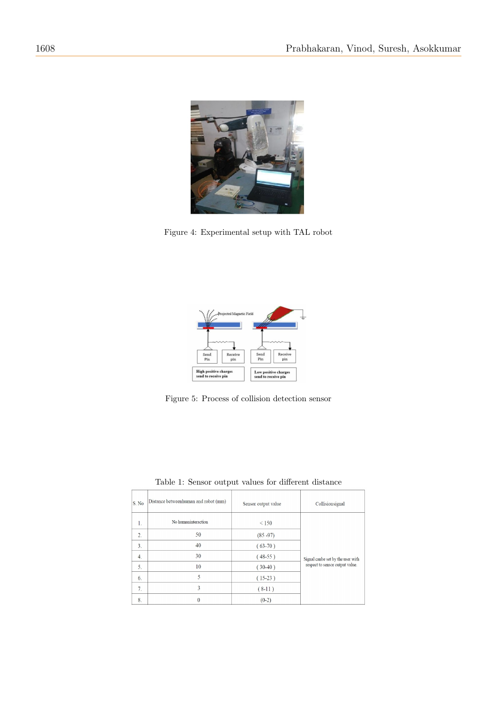

Figure 4: Experimental setup with TAL robot

<span id="page-3-1"></span><span id="page-3-0"></span>

Figure 5: Process of collision detection sensor

<span id="page-3-2"></span>

| S. No            | Distance betweenhuman and robot (mm) | Sensor output value | Collisionsignal                                                      |
|------------------|--------------------------------------|---------------------|----------------------------------------------------------------------|
| 1.               | No humaninteraction                  | < 150               | Signal canbe set by the user with<br>respect to sensor output value. |
| 2.               | 50                                   | $(85 - 97)$         |                                                                      |
| 3.               | 40                                   | $(63-70)$           |                                                                      |
| $\overline{4}$ . | 30                                   | $(48-55)$           |                                                                      |
| 5.               | 10                                   | $(30-40)$           |                                                                      |
| 6.               | 5                                    | $(15-23)$           |                                                                      |
| 7.               | 3                                    | $(8-11)$            |                                                                      |
| 8.               | $\mathbf{0}$                         | $(0-2)$             |                                                                      |

Table 1: Sensor output values for different distance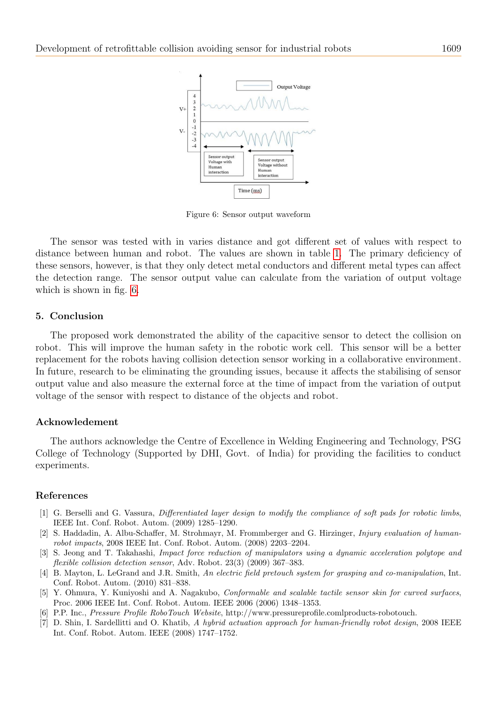

<span id="page-4-7"></span>Figure 6: Sensor output waveform

The sensor was tested with in varies distance and got different set of values with respect to distance between human and robot. The values are shown in table [1.](#page-3-2) The primary deficiency of these sensors, however, is that they only detect metal conductors and different metal types can affect the detection range. The sensor output value can calculate from the variation of output voltage which is shown in fig. [6.](#page-4-7)

## 5. Conclusion

The proposed work demonstrated the ability of the capacitive sensor to detect the collision on robot. This will improve the human safety in the robotic work cell. This sensor will be a better replacement for the robots having collision detection sensor working in a collaborative environment. In future, research to be eliminating the grounding issues, because it affects the stabilising of sensor output value and also measure the external force at the time of impact from the variation of output voltage of the sensor with respect to distance of the objects and robot.

## Acknowledement

The authors acknowledge the Centre of Excellence in Welding Engineering and Technology, PSG College of Technology (Supported by DHI, Govt. of India) for providing the facilities to conduct experiments.

#### References

- <span id="page-4-5"></span>[1] G. Berselli and G. Vassura, Differentiated layer design to modify the compliance of soft pads for robotic limbs, IEEE Int. Conf. Robot. Autom. (2009) 1285–1290.
- <span id="page-4-0"></span>[2] S. Haddadin, A. Albu-Schaffer, M. Strohmayr, M. Frommberger and G. Hirzinger, Injury evaluation of humanrobot impacts, 2008 IEEE Int. Conf. Robot. Autom. (2008) 2203–2204.
- <span id="page-4-4"></span>[3] S. Jeong and T. Takahashi, Impact force reduction of manipulators using a dynamic acceleration polytope and flexible collision detection sensor, Adv. Robot. 23(3) (2009) 367–383.
- <span id="page-4-1"></span>[4] B. Mayton, L. LeGrand and J.R. Smith, An electric field pretouch system for grasping and co-manipulation, Int. Conf. Robot. Autom. (2010) 831–838.
- <span id="page-4-3"></span>[5] Y. Ohmura, Y. Kuniyoshi and A. Nagakubo, Conformable and scalable tactile sensor skin for curved surfaces, Proc. 2006 IEEE Int. Conf. Robot. Autom. IEEE 2006 (2006) 1348–1353.
- <span id="page-4-2"></span>[6] P.P. Inc., Pressure Profile RoboTouch Website, http://www.pressureprofile.comlproducts-robotouch.
- <span id="page-4-6"></span>[7] D. Shin, I. Sardellitti and O. Khatib, A hybrid actuation approach for human-friendly robot design, 2008 IEEE Int. Conf. Robot. Autom. IEEE (2008) 1747–1752.